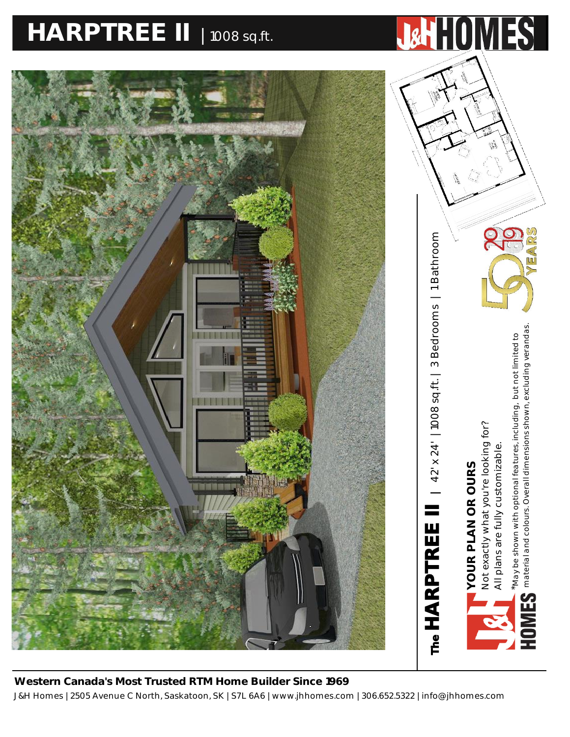# **HARPTREE II** <sup>|</sup> 1008 sq.ft. **HARPTREE II PLAN |** 42' X 24' **|** 1008 SQ.FT.



J&H Homes | 2505 Avenue C North, Saskatoon, SK | S7L 6A6 | www.jhhomes.com | 306.652.5322 | info@jhhomes.com **Western Canada's Most Trusted RTM Home Builder Since 1969**